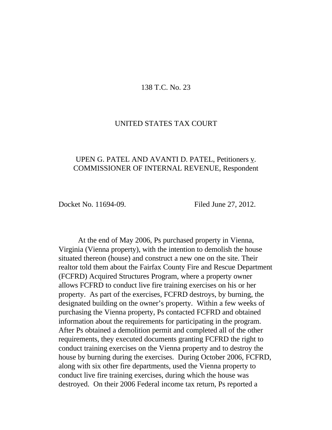## 138 T.C. No. 23

## UNITED STATES TAX COURT

# UPEN G. PATEL AND AVANTI D. PATEL, Petitioners v. COMMISSIONER OF INTERNAL REVENUE, Respondent

Docket No. 11694-09. Filed June 27, 2012.

At the end of May 2006, Ps purchased property in Vienna, Virginia (Vienna property), with the intention to demolish the house situated thereon (house) and construct a new one on the site. Their realtor told them about the Fairfax County Fire and Rescue Department (FCFRD) Acquired Structures Program, where a property owner allows FCFRD to conduct live fire training exercises on his or her property. As part of the exercises, FCFRD destroys, by burning, the designated building on the owner's property. Within a few weeks of purchasing the Vienna property, Ps contacted FCFRD and obtained information about the requirements for participating in the program. After Ps obtained a demolition permit and completed all of the other requirements, they executed documents granting FCFRD the right to conduct training exercises on the Vienna property and to destroy the house by burning during the exercises. During October 2006, FCFRD, along with six other fire departments, used the Vienna property to conduct live fire training exercises, during which the house was destroyed. On their 2006 Federal income tax return, Ps reported a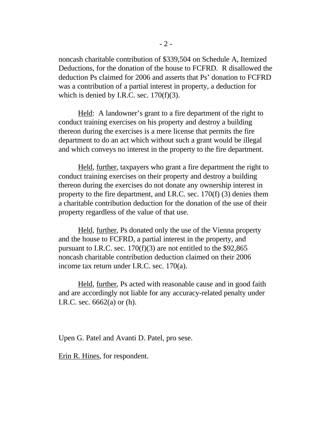noncash charitable contribution of \$339,504 on Schedule A, Itemized Deductions, for the donation of the house to FCFRD. R disallowed the deduction Ps claimed for 2006 and asserts that Ps' donation to FCFRD was a contribution of a partial interest in property, a deduction for which is denied by I.R.C. sec.  $170(f)(3)$ .

Held: A landowner's grant to a fire department of the right to conduct training exercises on his property and destroy a building thereon during the exercises is a mere license that permits the fire department to do an act which without such a grant would be illegal and which conveys no interest in the property to the fire department.

Held, further, taxpayers who grant a fire department the right to conduct training exercises on their property and destroy a building thereon during the exercises do not donate any ownership interest in property to the fire department, and I.R.C. sec. 170(f) (3) denies them a charitable contribution deduction for the donation of the use of their property regardless of the value of that use.

Held, further, Ps donated only the use of the Vienna property and the house to FCFRD, a partial interest in the property, and pursuant to I.R.C. sec. 170(f)(3) are not entitled to the \$92,865 noncash charitable contribution deduction claimed on their 2006 income tax return under I.R.C. sec. 170(a).

Held, further, Ps acted with reasonable cause and in good faith and are accordingly not liable for any accuracy-related penalty under I.R.C. sec. 6662(a) or (h).

Upen G. Patel and Avanti D. Patel, pro sese.

Erin R. Hines, for respondent.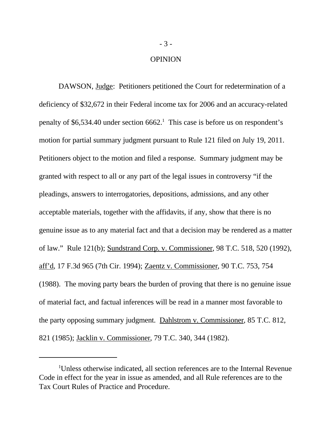#### OPINION

DAWSON, <u>Judge</u>: Petitioners petitioned the Court for redetermination of a deficiency of \$32,672 in their Federal income tax for 2006 and an accuracy-related penalty of \$6,534.40 under section  $6662$ .<sup>1</sup> This case is before us on respondent's motion for partial summary judgment pursuant to Rule 121 filed on July 19, 2011. Petitioners object to the motion and filed a response. Summary judgment may be granted with respect to all or any part of the legal issues in controversy "if the pleadings, answers to interrogatories, depositions, admissions, and any other acceptable materials, together with the affidavits, if any, show that there is no genuine issue as to any material fact and that a decision may be rendered as a matter of law." Rule 121(b); Sundstrand Corp. v. Commissioner, 98 T.C. 518, 520 (1992), aff'd, 17 F.3d 965 (7th Cir. 1994); Zaentz v. Commissioner, 90 T.C. 753, 754 (1988). The moving party bears the burden of proving that there is no genuine issue of material fact, and factual inferences will be read in a manner most favorable to the party opposing summary judgment. Dahlstrom v. Commissioner, 85 T.C. 812, 821 (1985); Jacklin v. Commissioner, 79 T.C. 340, 344 (1982).

<sup>1</sup>Unless otherwise indicated, all section references are to the Internal Revenue Code in effect for the year in issue as amended, and all Rule references are to the Tax Court Rules of Practice and Procedure.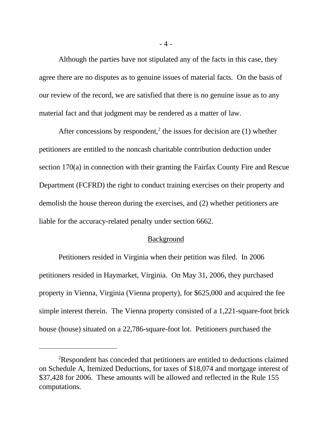Although the parties have not stipulated any of the facts in this case, they agree there are no disputes as to genuine issues of material facts. On the basis of our review of the record, we are satisfied that there is no genuine issue as to any material fact and that judgment may be rendered as a matter of law.

After concessions by respondent,<sup>2</sup> the issues for decision are  $(1)$  whether petitioners are entitled to the noncash charitable contribution deduction under section 170(a) in connection with their granting the Fairfax County Fire and Rescue Department (FCFRD) the right to conduct training exercises on their property and demolish the house thereon during the exercises, and (2) whether petitioners are liable for the accuracy-related penalty under section 6662.

### Background

Petitioners resided in Virginia when their petition was filed. In 2006 petitioners resided in Haymarket, Virginia. On May 31, 2006, they purchased property in Vienna, Virginia (Vienna property), for \$625,000 and acquired the fee simple interest therein. The Vienna property consisted of a 1,221-square-foot brick house (house) situated on a 22,786-square-foot lot. Petitioners purchased the

<sup>&</sup>lt;sup>2</sup>Respondent has conceded that petitioners are entitled to deductions claimed on Schedule A, Itemized Deductions, for taxes of \$18,074 and mortgage interest of \$37,428 for 2006. These amounts will be allowed and reflected in the Rule 155 computations.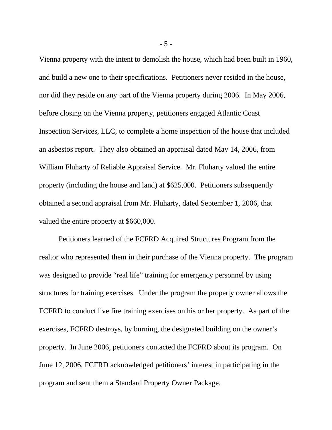Vienna property with the intent to demolish the house, which had been built in 1960, and build a new one to their specifications. Petitioners never resided in the house, nor did they reside on any part of the Vienna property during 2006. In May 2006, before closing on the Vienna property, petitioners engaged Atlantic Coast Inspection Services, LLC, to complete a home inspection of the house that included an asbestos report. They also obtained an appraisal dated May 14, 2006, from William Fluharty of Reliable Appraisal Service. Mr. Fluharty valued the entire property (including the house and land) at \$625,000. Petitioners subsequently obtained a second appraisal from Mr. Fluharty, dated September 1, 2006, that valued the entire property at \$660,000.

Petitioners learned of the FCFRD Acquired Structures Program from the realtor who represented them in their purchase of the Vienna property. The program was designed to provide "real life" training for emergency personnel by using structures for training exercises. Under the program the property owner allows the FCFRD to conduct live fire training exercises on his or her property. As part of the exercises, FCFRD destroys, by burning, the designated building on the owner's property. In June 2006, petitioners contacted the FCFRD about its program. On June 12, 2006, FCFRD acknowledged petitioners' interest in participating in the program and sent them a Standard Property Owner Package.

- 5 -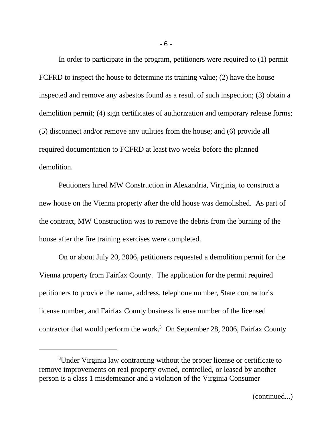In order to participate in the program, petitioners were required to (1) permit FCFRD to inspect the house to determine its training value; (2) have the house inspected and remove any asbestos found as a result of such inspection; (3) obtain a demolition permit; (4) sign certificates of authorization and temporary release forms; (5) disconnect and/or remove any utilities from the house; and (6) provide all required documentation to FCFRD at least two weeks before the planned demolition.

Petitioners hired MW Construction in Alexandria, Virginia, to construct a new house on the Vienna property after the old house was demolished. As part of the contract, MW Construction was to remove the debris from the burning of the house after the fire training exercises were completed.

On or about July 20, 2006, petitioners requested a demolition permit for the Vienna property from Fairfax County. The application for the permit required petitioners to provide the name, address, telephone number, State contractor's license number, and Fairfax County business license number of the licensed contractor that would perform the work.<sup>3</sup> On September 28, 2006, Fairfax County

<sup>3</sup>Under Virginia law contracting without the proper license or certificate to remove improvements on real property owned, controlled, or leased by another person is a class 1 misdemeanor and a violation of the Virginia Consumer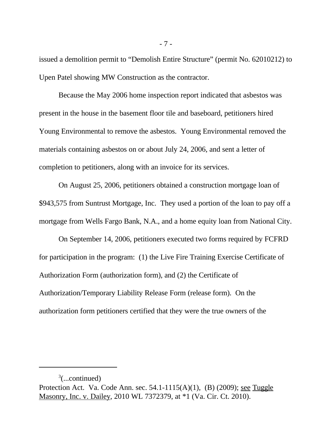issued a demolition permit to "Demolish Entire Structure" (permit No. 62010212) to Upen Patel showing MW Construction as the contractor.

Because the May 2006 home inspection report indicated that asbestos was present in the house in the basement floor tile and baseboard, petitioners hired Young Environmental to remove the asbestos. Young Environmental removed the materials containing asbestos on or about July 24, 2006, and sent a letter of completion to petitioners, along with an invoice for its services.

On August 25, 2006, petitioners obtained a construction mortgage loan of \$943,575 from Suntrust Mortgage, Inc. They used a portion of the loan to pay off a mortgage from Wells Fargo Bank, N.A., and a home equity loan from National City.

On September 14, 2006, petitioners executed two forms required by FCFRD for participation in the program: (1) the Live Fire Training Exercise Certificate of Authorization Form (authorization form), and (2) the Certificate of Authorization/Temporary Liability Release Form (release form). On the authorization form petitioners certified that they were the true owners of the

 $3$ (...continued)

Protection Act. Va. Code Ann. sec. 54.1-1115(A)(1), (B) (2009); see Tuggle Masonry, Inc. v. Dailey, 2010 WL 7372379, at \*1 (Va. Cir. Ct. 2010).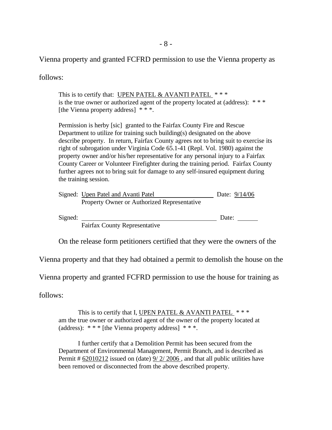Vienna property and granted FCFRD permission to use the Vienna property as

follows:

This is to certify that: UPEN PATEL & AVANTI PATEL  $***$ is the true owner or authorized agent of the property located at (address):  $***$ [the Vienna property address] \* \* \*.

Permission is herby [sic] granted to the Fairfax County Fire and Rescue Department to utilize for training such building(s) designated on the above describe property. In return, Fairfax County agrees not to bring suit to exercise its right of subrogation under Virginia Code 65.1-41 (Repl. Vol. 1980) against the property owner and/or his/her representative for any personal injury to a Fairfax County Career or Volunteer Firefighter during the training period. Fairfax County further agrees not to bring suit for damage to any self-insured equipment during the training session.

| Signed: Upen Patel and Avanti Patel         | Date: 9/14/06 |
|---------------------------------------------|---------------|
| Property Owner or Authorized Representative |               |

Signed: Date:

Fairfax County Representative

On the release form petitioners certified that they were the owners of the

Vienna property and that they had obtained a permit to demolish the house on the

Vienna property and granted FCFRD permission to use the house for training as

follows:

This is to certify that I, UPEN PATEL & AVANTI PATEL  $***$ am the true owner or authorized agent of the owner of the property located at (address):  $***$  [the Vienna property address]  $***$ .

I further certify that a Demolition Permit has been secured from the Department of Environmental Management, Permit Branch, and is described as Permit # 62010212 issued on (date)  $9/ 2/ 2006$ , and that all public utilities have been removed or disconnected from the above described property.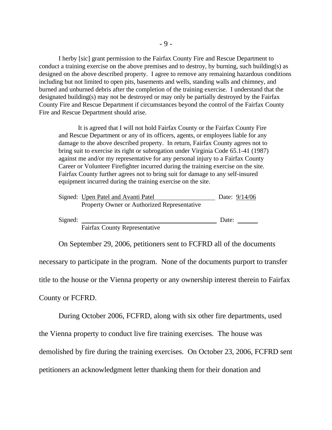I herby [sic] grant permission to the Fairfax County Fire and Rescue Department to conduct a training exercise on the above premises and to destroy, by burning, such building(s) as designed on the above described property. I agree to remove any remaining hazardous conditions including but not limited to open pits, basements and wells, standing walls and chimney, and burned and unburned debris after the completion of the training exercise. I understand that the designated building(s) may not be destroyed or may only be partially destroyed by the Fairfax County Fire and Rescue Department if circumstances beyond the control of the Fairfax County Fire and Rescue Department should arise.

It is agreed that I will not hold Fairfax County or the Fairfax County Fire and Rescue Department or any of its officers, agents, or employees liable for any damage to the above described property. In return, Fairfax County agrees not to bring suit to exercise its right or subrogation under Virginia Code 65.1-41 (1987) against me and/or my representative for any personal injury to a Fairfax County Career or Volunteer Firefighter incurred during the training exercise on the site. Fairfax County further agrees not to bring suit for damage to any self-insured equipment incurred during the training exercise on the site.

|         | Signed: Upen Patel and Avanti Patel         | Date: 9/14/06 |  |
|---------|---------------------------------------------|---------------|--|
|         | Property Owner or Authorized Representative |               |  |
| Signed: |                                             | Date:         |  |

Fairfax County Representative

On September 29, 2006, petitioners sent to FCFRD all of the documents

necessary to participate in the program. None of the documents purport to transfer

title to the house or the Vienna property or any ownership interest therein to Fairfax

County or FCFRD.

During October 2006, FCFRD, along with six other fire departments, used

the Vienna property to conduct live fire training exercises. The house was

demolished by fire during the training exercises. On October 23, 2006, FCFRD sent

petitioners an acknowledgment letter thanking them for their donation and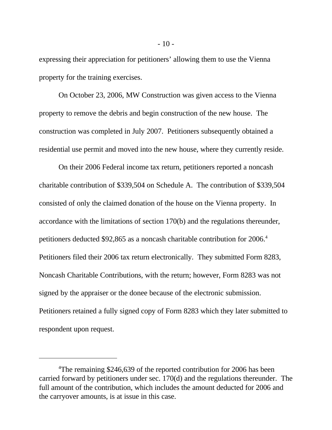expressing their appreciation for petitioners' allowing them to use the Vienna property for the training exercises.

On October 23, 2006, MW Construction was given access to the Vienna property to remove the debris and begin construction of the new house. The construction was completed in July 2007. Petitioners subsequently obtained a residential use permit and moved into the new house, where they currently reside.

On their 2006 Federal income tax return, petitioners reported a noncash charitable contribution of \$339,504 on Schedule A. The contribution of \$339,504 consisted of only the claimed donation of the house on the Vienna property. In accordance with the limitations of section 170(b) and the regulations thereunder, petitioners deducted \$92,865 as a noncash charitable contribution for 2006.<sup>4</sup> Petitioners filed their 2006 tax return electronically. They submitted Form 8283, Noncash Charitable Contributions, with the return; however, Form 8283 was not signed by the appraiser or the donee because of the electronic submission. Petitioners retained a fully signed copy of Form 8283 which they later submitted to respondent upon request.

<sup>&</sup>lt;sup>4</sup>The remaining \$246,639 of the reported contribution for 2006 has been carried forward by petitioners under sec. 170(d) and the regulations thereunder. The full amount of the contribution, which includes the amount deducted for 2006 and the carryover amounts, is at issue in this case.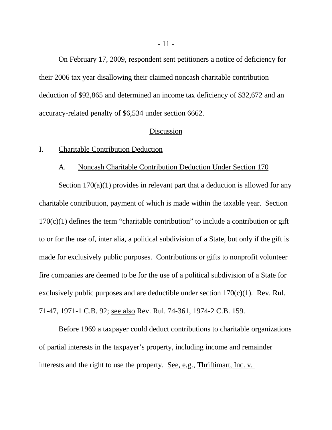On February 17, 2009, respondent sent petitioners a notice of deficiency for their 2006 tax year disallowing their claimed noncash charitable contribution deduction of \$92,865 and determined an income tax deficiency of \$32,672 and an accuracy-related penalty of \$6,534 under section 6662.

#### Discussion

### I. Charitable Contribution Deduction

### A. Noncash Charitable Contribution Deduction Under Section 170

Section 170(a)(1) provides in relevant part that a deduction is allowed for any charitable contribution, payment of which is made within the taxable year. Section  $170(c)(1)$  defines the term "charitable contribution" to include a contribution or gift to or for the use of, inter alia, a political subdivision of a State, but only if the gift is made for exclusively public purposes. Contributions or gifts to nonprofit volunteer fire companies are deemed to be for the use of a political subdivision of a State for exclusively public purposes and are deductible under section  $170(c)(1)$ . Rev. Rul. 71-47, 1971-1 C.B. 92; see also Rev. Rul. 74-361, 1974-2 C.B. 159.

Before 1969 a taxpayer could deduct contributions to charitable organizations of partial interests in the taxpayer's property, including income and remainder interests and the right to use the property. See, e.g., Thriftimart, Inc. v.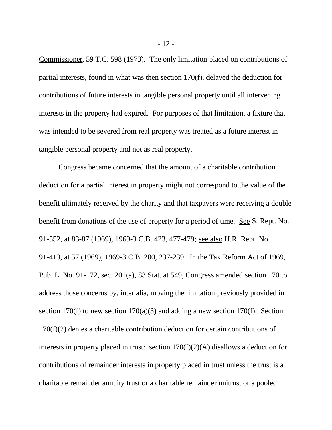Commissioner, 59 T.C. 598 (1973). The only limitation placed on contributions of partial interests, found in what was then section 170(f), delayed the deduction for contributions of future interests in tangible personal property until all intervening interests in the property had expired. For purposes of that limitation, a fixture that was intended to be severed from real property was treated as a future interest in tangible personal property and not as real property.

Congress became concerned that the amount of a charitable contribution deduction for a partial interest in property might not correspond to the value of the benefit ultimately received by the charity and that taxpayers were receiving a double benefit from donations of the use of property for a period of time. See S. Rept. No. 91-552, at 83-87 (1969), 1969-3 C.B. 423, 477-479; see also H.R. Rept. No. 91-413, at 57 (1969), 1969-3 C.B. 200, 237-239. In the Tax Reform Act of 1969, Pub. L. No. 91-172, sec. 201(a), 83 Stat. at 549, Congress amended section 170 to address those concerns by, inter alia, moving the limitation previously provided in section 170(f) to new section 170(a)(3) and adding a new section 170(f). Section 170(f)(2) denies a charitable contribution deduction for certain contributions of interests in property placed in trust: section 170(f)(2)(A) disallows a deduction for contributions of remainder interests in property placed in trust unless the trust is a charitable remainder annuity trust or a charitable remainder unitrust or a pooled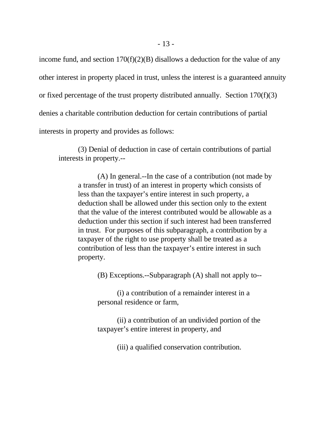income fund, and section  $170(f)(2)(B)$  disallows a deduction for the value of any other interest in property placed in trust, unless the interest is a guaranteed annuity or fixed percentage of the trust property distributed annually. Section 170(f)(3) denies a charitable contribution deduction for certain contributions of partial interests in property and provides as follows:

(3) Denial of deduction in case of certain contributions of partial interests in property.--

(A) In general.--In the case of a contribution (not made by a transfer in trust) of an interest in property which consists of less than the taxpayer's entire interest in such property, a deduction shall be allowed under this section only to the extent that the value of the interest contributed would be allowable as a deduction under this section if such interest had been transferred in trust. For purposes of this subparagraph, a contribution by a taxpayer of the right to use property shall be treated as a contribution of less than the taxpayer's entire interest in such property.

(B) Exceptions.--Subparagraph (A) shall not apply to--

(i) a contribution of a remainder interest in a personal residence or farm,

(ii) a contribution of an undivided portion of the taxpayer's entire interest in property, and

(iii) a qualified conservation contribution.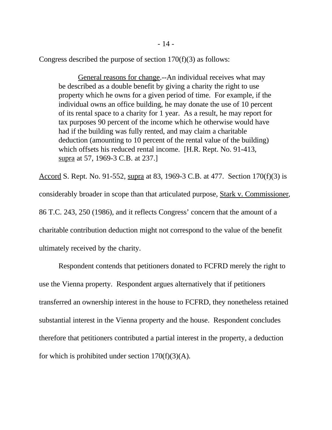Congress described the purpose of section  $170(f)(3)$  as follows:

General reasons for change.--An individual receives what may be described as a double benefit by giving a charity the right to use property which he owns for a given period of time. For example, if the individual owns an office building, he may donate the use of 10 percent of its rental space to a charity for 1 year. As a result, he may report for tax purposes 90 percent of the income which he otherwise would have had if the building was fully rented, and may claim a charitable deduction (amounting to 10 percent of the rental value of the building) which offsets his reduced rental income. [H.R. Rept. No. 91-413, supra at 57, 1969-3 C.B. at 237.]

Accord S. Rept. No. 91-552, supra at 83, 1969-3 C.B. at 477. Section 170(f)(3) is considerably broader in scope than that articulated purpose, Stark v. Commissioner, 86 T.C. 243, 250 (1986), and it reflects Congress' concern that the amount of a charitable contribution deduction might not correspond to the value of the benefit ultimately received by the charity.

Respondent contends that petitioners donated to FCFRD merely the right to use the Vienna property. Respondent argues alternatively that if petitioners transferred an ownership interest in the house to FCFRD, they nonetheless retained substantial interest in the Vienna property and the house. Respondent concludes therefore that petitioners contributed a partial interest in the property, a deduction for which is prohibited under section  $170(f)(3)(A)$ .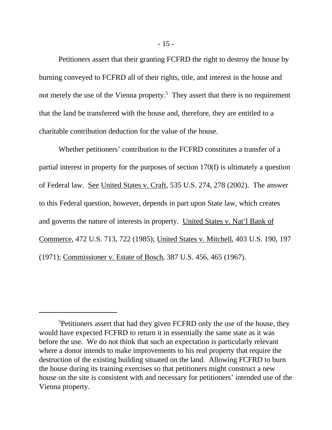Petitioners assert that their granting FCFRD the right to destroy the house by burning conveyed to FCFRD all of their rights, title, and interest in the house and not merely the use of the Vienna property.<sup>5</sup> They assert that there is no requirement that the land be transferred with the house and, therefore, they are entitled to a charitable contribution deduction for the value of the house.

Whether petitioners' contribution to the FCFRD constitutes a transfer of a partial interest in property for the purposes of section 170(f) is ultimately a question of Federal law. See United States v. Craft, 535 U.S. 274, 278 (2002). The answer to this Federal question, however, depends in part upon State law, which creates and governs the nature of interests in property. United States v. Nat'l Bank of Commerce, 472 U.S. 713, 722 (1985); United States v. Mitchell, 403 U.S. 190, 197 (1971); Commissioner v. Estate of Bosch, 387 U.S. 456, 465 (1967).

<sup>&</sup>lt;sup>5</sup>Petitioners assert that had they given FCFRD only the use of the house, they would have expected FCFRD to return it in essentially the same state as it was before the use. We do not think that such an expectation is particularly relevant where a donor intends to make improvements to his real property that require the destruction of the existing building situated on the land. Allowing FCFRD to burn the house during its training exercises so that petitioners might construct a new house on the site is consistent with and necessary for petitioners' intended use of the Vienna property.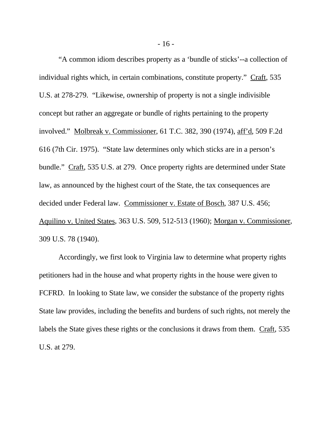"A common idiom describes property as a 'bundle of sticks'--a collection of individual rights which, in certain combinations, constitute property." Craft, 535 U.S. at 278-279. "Likewise, ownership of property is not a single indivisible concept but rather an aggregate or bundle of rights pertaining to the property involved." Molbreak v. Commissioner, 61 T.C. 382, 390 (1974), aff'd, 509 F.2d 616 (7th Cir. 1975). "State law determines only which sticks are in a person's bundle." Craft, 535 U.S. at 279. Once property rights are determined under State law, as announced by the highest court of the State, the tax consequences are decided under Federal law. Commissioner v. Estate of Bosch, 387 U.S. 456; Aquilino v. United States, 363 U.S. 509, 512-513 (1960); Morgan v. Commissioner, 309 U.S. 78 (1940).

Accordingly, we first look to Virginia law to determine what property rights petitioners had in the house and what property rights in the house were given to FCFRD. In looking to State law, we consider the substance of the property rights State law provides, including the benefits and burdens of such rights, not merely the labels the State gives these rights or the conclusions it draws from them. Craft, 535 U.S. at 279.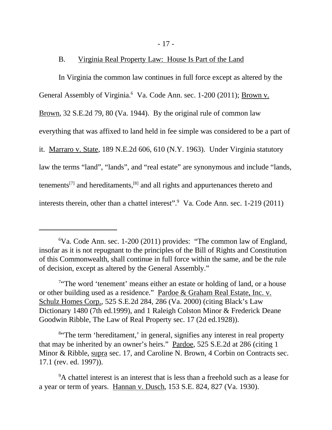- 17 -

### B. Virginia Real Property Law: House Is Part of the Land

In Virginia the common law continues in full force except as altered by the General Assembly of Virginia.<sup>6</sup> Va. Code Ann. sec. 1-200 (2011); **Brown v.** Brown, 32 S.E.2d 79, 80 (Va. 1944). By the original rule of common law everything that was affixed to land held in fee simple was considered to be a part of it. Marraro v. State, 189 N.E.2d 606, 610 (N.Y. 1963). Under Virginia statutory law the terms "land", "lands", and "real estate" are synonymous and include "lands, tenements<sup>[7]</sup> and hereditaments,<sup>[8]</sup> and all rights and appurtenances thereto and interests therein, other than a chattel interest".<sup>9</sup> Va. Code Ann. sec. 1-219 (2011)

<sup>8</sup> The term 'hereditament,' in general, signifies any interest in real property that may be inherited by an owner's heirs." Pardoe, 525 S.E.2d at 286 (citing 1 Minor & Ribble, supra sec. 17, and Caroline N. Brown, 4 Corbin on Contracts sec. 17.1 (rev. ed. 1997)).

<sup>9</sup>A chattel interest is an interest that is less than a freehold such as a lease for a year or term of years. Hannan v. Dusch, 153 S.E. 824, 827 (Va. 1930).

<sup>6</sup>Va. Code Ann. sec. 1-200 (2011) provides: "The common law of England, insofar as it is not repugnant to the principles of the Bill of Rights and Constitution of this Commonwealth, shall continue in full force within the same, and be the rule of decision, except as altered by the General Assembly."

<sup>&</sup>lt;sup>7</sup>"The word 'tenement' means either an estate or holding of land, or a house or other building used as a residence." Pardoe & Graham Real Estate, Inc. v. Schulz Homes Corp., 525 S.E.2d 284, 286 (Va. 2000) (citing Black's Law Dictionary 1480 (7th ed.1999), and 1 Raleigh Colston Minor & Frederick Deane Goodwin Ribble, The Law of Real Property sec. 17 (2d ed.1928)).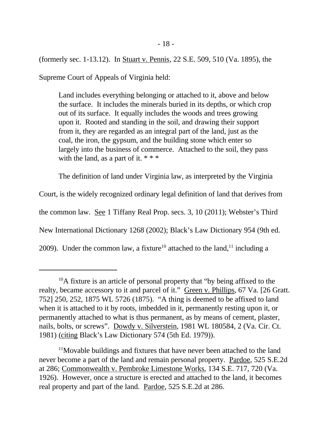(formerly sec. 1-13.12). In Stuart v. Pennis, 22 S.E. 509, 510 (Va. 1895), the

Supreme Court of Appeals of Virginia held:

Land includes everything belonging or attached to it, above and below the surface. It includes the minerals buried in its depths, or which crop out of its surface. It equally includes the woods and trees growing upon it. Rooted and standing in the soil, and drawing their support from it, they are regarded as an integral part of the land, just as the coal, the iron, the gypsum, and the building stone which enter so largely into the business of commerce. Attached to the soil, they pass with the land, as a part of it.  $***$ 

The definition of land under Virginia law, as interpreted by the Virginia

Court, is the widely recognized ordinary legal definition of land that derives from the common law. See 1 Tiffany Real Prop. secs. 3, 10 (2011); Webster's Third New International Dictionary 1268 (2002); Black's Law Dictionary 954 (9th ed. 2009). Under the common law, a fixture<sup>10</sup> attached to the land,<sup>11</sup> including a

<sup>&</sup>lt;sup>10</sup>A fixture is an article of personal property that "by being affixed to the realty, became accessory to it and parcel of it." Green v. Phillips, 67 Va. [26 Gratt. 752] 250, 252, 1875 WL 5726 (1875). "A thing is deemed to be affixed to land when it is attached to it by roots, imbedded in it, permanently resting upon it, or permanently attached to what is thus permanent, as by means of cement, plaster, nails, bolts, or screws". Dowdy v. Silverstein, 1981 WL 180584, 2 (Va. Cir. Ct. 1981) (citing Black's Law Dictionary 574 (5th Ed. 1979)).

<sup>&</sup>lt;sup>11</sup>Movable buildings and fixtures that have never been attached to the land never become a part of the land and remain personal property. Pardoe, 525 S.E.2d at 286; Commonwealth v. Pembroke Limestone Works, 134 S.E. 717, 720 (Va. 1926). However, once a structure is erected and attached to the land, it becomes real property and part of the land. Pardoe, 525 S.E.2d at 286.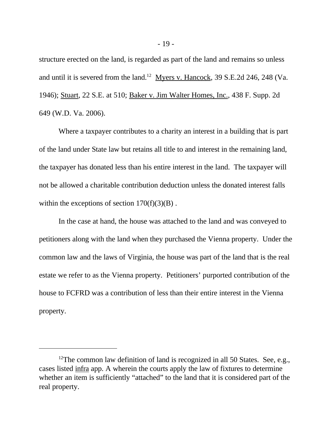structure erected on the land, is regarded as part of the land and remains so unless and until it is severed from the land.<sup>12</sup> Myers v. Hancock, 39 S.E.2d 246, 248 (Va. 1946); Stuart, 22 S.E. at 510; Baker v. Jim Walter Homes, Inc., 438 F. Supp. 2d 649 (W.D. Va. 2006).

Where a taxpayer contributes to a charity an interest in a building that is part of the land under State law but retains all title to and interest in the remaining land, the taxpayer has donated less than his entire interest in the land. The taxpayer will not be allowed a charitable contribution deduction unless the donated interest falls within the exceptions of section  $170(f)(3)(B)$ .

In the case at hand, the house was attached to the land and was conveyed to petitioners along with the land when they purchased the Vienna property. Under the common law and the laws of Virginia, the house was part of the land that is the real estate we refer to as the Vienna property. Petitioners' purported contribution of the house to FCFRD was a contribution of less than their entire interest in the Vienna property.

 $12$ The common law definition of land is recognized in all 50 States. See, e.g., cases listed infra app. A wherein the courts apply the law of fixtures to determine whether an item is sufficiently "attached" to the land that it is considered part of the real property.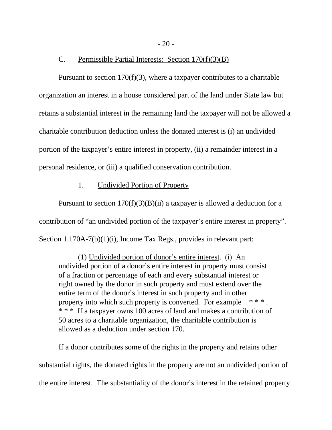- 20 -

#### C. Permissible Partial Interests: Section 170(f)(3)(B)

Pursuant to section  $170(f)(3)$ , where a taxpayer contributes to a charitable organization an interest in a house considered part of the land under State law but retains a substantial interest in the remaining land the taxpayer will not be allowed a charitable contribution deduction unless the donated interest is (i) an undivided portion of the taxpayer's entire interest in property, (ii) a remainder interest in a personal residence, or (iii) a qualified conservation contribution.

### 1. Undivided Portion of Property

Pursuant to section  $170(f)(3)(B)(ii)$  a taxpayer is allowed a deduction for a contribution of "an undivided portion of the taxpayer's entire interest in property". Section 1.170A-7(b)(1)(i), Income Tax Regs., provides in relevant part:

(1) Undivided portion of donor's entire interest. (i) An undivided portion of a donor's entire interest in property must consist of a fraction or percentage of each and every substantial interest or right owned by the donor in such property and must extend over the entire term of the donor's interest in such property and in other property into which such property is converted. For example  $***$ . \* \* \* If a taxpayer owns 100 acres of land and makes a contribution of 50 acres to a charitable organization, the charitable contribution is allowed as a deduction under section 170.

If a donor contributes some of the rights in the property and retains other substantial rights, the donated rights in the property are not an undivided portion of the entire interest. The substantiality of the donor's interest in the retained property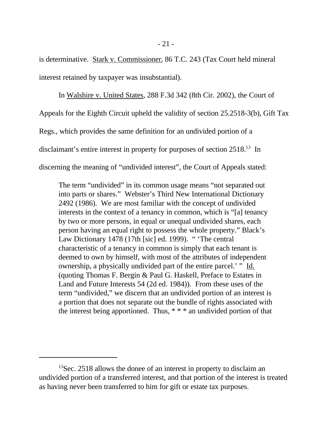is determinative. Stark v. Commissioner, 86 T.C. 243 (Tax Court held mineral interest retained by taxpayer was insubstantial).

In Walshire v. United States, 288 F.3d 342 (8th Cir. 2002), the Court of Appeals for the Eighth Circuit upheld the validity of section 25.2518-3(b), Gift Tax Regs., which provides the same definition for an undivided portion of a disclaimant's entire interest in property for purposes of section 2518.<sup>13</sup> In discerning the meaning of "undivided interest", the Court of Appeals stated:

The term "undivided" in its common usage means "not separated out into parts or shares." Webster's Third New International Dictionary 2492 (1986). We are most familiar with the concept of undivided interests in the context of a tenancy in common, which is "[a] tenancy by two or more persons, in equal or unequal undivided shares, each person having an equal right to possess the whole property." Black's Law Dictionary 1478 (17th [sic] ed. 1999). " 'The central characteristic of a tenancy in common is simply that each tenant is deemed to own by himself, with most of the attributes of independent ownership, a physically undivided part of the entire parcel.' " Id. (quoting Thomas F. Bergin & Paul G. Haskell, Preface to Estates in Land and Future Interests 54 (2d ed. 1984)). From these uses of the term "undivided," we discern that an undivided portion of an interest is a portion that does not separate out the bundle of rights associated with the interest being apportioned. Thus,  $***$  an undivided portion of that

<sup>&</sup>lt;sup>13</sup>Sec. 2518 allows the donee of an interest in property to disclaim an undivided portion of a transferred interest, and that portion of the interest is treated as having never been transferred to him for gift or estate tax purposes.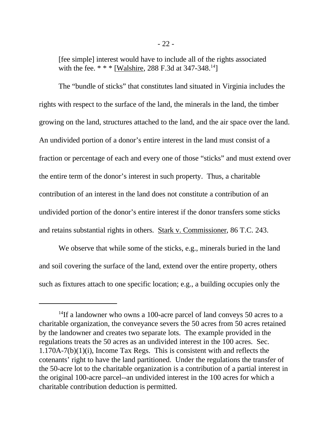[fee simple] interest would have to include all of the rights associated with the fee.  $* * *$  [Walshire, 288 F.3d at 347-348.<sup>14</sup>]

The "bundle of sticks" that constitutes land situated in Virginia includes the rights with respect to the surface of the land, the minerals in the land, the timber growing on the land, structures attached to the land, and the air space over the land. An undivided portion of a donor's entire interest in the land must consist of a fraction or percentage of each and every one of those "sticks" and must extend over the entire term of the donor's interest in such property. Thus, a charitable contribution of an interest in the land does not constitute a contribution of an undivided portion of the donor's entire interest if the donor transfers some sticks and retains substantial rights in others. Stark v. Commissioner, 86 T.C. 243.

We observe that while some of the sticks, e.g., minerals buried in the land and soil covering the surface of the land, extend over the entire property, others such as fixtures attach to one specific location; e.g., a building occupies only the

<sup>&</sup>lt;sup>14</sup>If a landowner who owns a 100-acre parcel of land conveys 50 acres to a charitable organization, the conveyance severs the 50 acres from 50 acres retained by the landowner and creates two separate lots. The example provided in the regulations treats the 50 acres as an undivided interest in the 100 acres. Sec. 1.170A-7(b)(1)(i), Income Tax Regs. This is consistent with and reflects the cotenants' right to have the land partitioned. Under the regulations the transfer of the 50-acre lot to the charitable organization is a contribution of a partial interest in the original 100-acre parcel--an undivided interest in the 100 acres for which a charitable contribution deduction is permitted.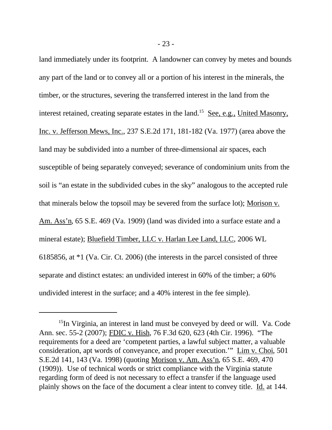land immediately under its footprint. A landowner can convey by metes and bounds any part of the land or to convey all or a portion of his interest in the minerals, the timber, or the structures, severing the transferred interest in the land from the interest retained, creating separate estates in the land.<sup>15</sup> See, e.g., United Masonry, Inc. v. Jefferson Mews, Inc., 237 S.E.2d 171, 181-182 (Va. 1977) (area above the land may be subdivided into a number of three-dimensional air spaces, each susceptible of being separately conveyed; severance of condominium units from the soil is "an estate in the subdivided cubes in the sky" analogous to the accepted rule that minerals below the topsoil may be severed from the surface lot); Morison v. Am. Ass'n, 65 S.E. 469 (Va. 1909) (land was divided into a surface estate and a mineral estate); Bluefield Timber, LLC v. Harlan Lee Land, LLC, 2006 WL 6185856, at \*1 (Va. Cir. Ct. 2006) (the interests in the parcel consisted of three separate and distinct estates: an undivided interest in 60% of the timber; a 60% undivided interest in the surface; and a 40% interest in the fee simple).

<sup>&</sup>lt;sup>15</sup>In Virginia, an interest in land must be conveyed by deed or will. Va. Code Ann. sec. 55-2 (2007); FDIC v. Hish, 76 F.3d 620, 623 (4th Cir. 1996). "The requirements for a deed are 'competent parties, a lawful subject matter, a valuable consideration, apt words of conveyance, and proper execution.'" Lim v. Choi, 501 S.E.2d 141, 143 (Va. 1998) (quoting Morison v. Am. Ass'n, 65 S.E. 469, 470 (1909)). Use of technical words or strict compliance with the Virginia statute regarding form of deed is not necessary to effect a transfer if the language used plainly shows on the face of the document a clear intent to convey title. Id. at 144.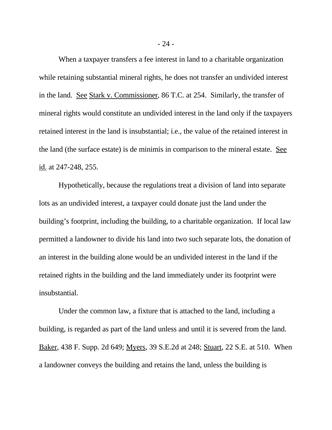When a taxpayer transfers a fee interest in land to a charitable organization while retaining substantial mineral rights, he does not transfer an undivided interest in the land. See Stark v. Commissioner, 86 T.C. at 254. Similarly, the transfer of mineral rights would constitute an undivided interest in the land only if the taxpayers retained interest in the land is insubstantial; i.e., the value of the retained interest in the land (the surface estate) is de minimis in comparison to the mineral estate. See id. at 247-248, 255.

Hypothetically, because the regulations treat a division of land into separate lots as an undivided interest, a taxpayer could donate just the land under the building's footprint, including the building, to a charitable organization. If local law permitted a landowner to divide his land into two such separate lots, the donation of an interest in the building alone would be an undivided interest in the land if the retained rights in the building and the land immediately under its footprint were insubstantial.

Under the common law, a fixture that is attached to the land, including a building, is regarded as part of the land unless and until it is severed from the land. Baker, 438 F. Supp. 2d 649; Myers, 39 S.E.2d at 248; Stuart, 22 S.E. at 510. When a landowner conveys the building and retains the land, unless the building is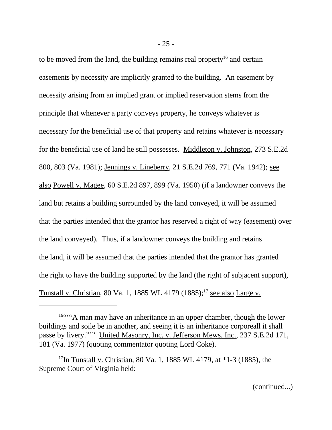to be moved from the land, the building remains real property<sup>16</sup> and certain easements by necessity are implicitly granted to the building. An easement by necessity arising from an implied grant or implied reservation stems from the principle that whenever a party conveys property, he conveys whatever is necessary for the beneficial use of that property and retains whatever is necessary for the beneficial use of land he still possesses. Middleton v. Johnston, 273 S.E.2d 800, 803 (Va. 1981); Jennings v. Lineberry, 21 S.E.2d 769, 771 (Va. 1942); see also Powell v. Magee, 60 S.E.2d 897, 899 (Va. 1950) (if a landowner conveys the land but retains a building surrounded by the land conveyed, it will be assumed that the parties intended that the grantor has reserved a right of way (easement) over the land conveyed). Thus, if a landowner conveys the building and retains the land, it will be assumed that the parties intended that the grantor has granted the right to have the building supported by the land (the right of subjacent support), Tunstall v. Christian, 80 Va. 1, 1885 WL 4179  $(1885)$ ;<sup>17</sup> see also Large v.

(continued...)

<sup>&</sup>lt;sup>16""</sup>"A man may have an inheritance in an upper chamber, though the lower buildings and soile be in another, and seeing it is an inheritance corporeall it shall passe by livery."'" United Masonry, Inc. v. Jefferson Mews, Inc., 237 S.E.2d 171, 181 (Va. 1977) (quoting commentator quoting Lord Coke).

<sup>&</sup>lt;sup>17</sup>In Tunstall v. Christian, 80 Va. 1, 1885 WL 4179, at  $*1-3$  (1885), the Supreme Court of Virginia held: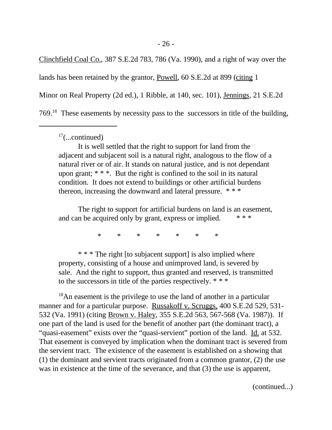Clinchfield Coal Co., 387 S.E.2d 783, 786 (Va. 1990), and a right of way over the lands has been retained by the grantor, Powell, 60 S.E.2d at 899 (citing 1 Minor on Real Property (2d ed.), 1 Ribble, at 140, sec. 101), Jennings, 21 S.E.2d 769.<sup>18</sup> These easements by necessity pass to the successors in title of the building,

 $17$ (...continued)

It is well settled that the right to support for land from the adjacent and subjacent soil is a natural right, analogous to the flow of a natural river or of air. It stands on natural justice, and is not dependant upon grant; \* \* \*. But the right is confined to the soil in its natural condition. It does not extend to buildings or other artificial burdens thereon, increasing the downward and lateral pressure. \* \* \*

The right to support for artificial burdens on land is an easement, and can be acquired only by grant, express or implied.

\* \* \* \* \* \* \*

\* \* \* The right [to subjacent support] is also implied where property, consisting of a house and unimproved land, is severed by sale. And the right to support, thus granted and reserved, is transmitted to the successors in title of the parties respectively. \* \* \*

<sup>18</sup>An easement is the privilege to use the land of another in a particular manner and for a particular purpose. Russakoff v. Scruggs, 400 S.E.2d 529, 531- 532 (Va. 1991) (citing Brown v. Haley, 355 S.E.2d 563, 567-568 (Va. 1987)). If one part of the land is used for the benefit of another part (the dominant tract), a "quasi-easement" exists over the "quasi-servient" portion of the land. Id. at 532. That easement is conveyed by implication when the dominant tract is severed from the servient tract. The existence of the easement is established on a showing that (1) the dominant and servient tracts originated from a common grantor, (2) the use was in existence at the time of the severance, and that (3) the use is apparent,

(continued...)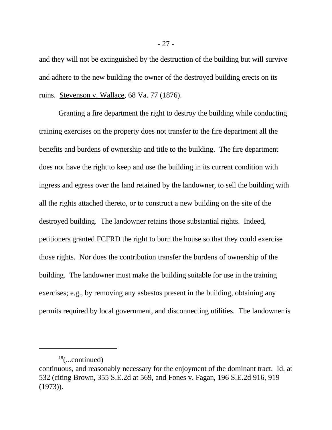and they will not be extinguished by the destruction of the building but will survive and adhere to the new building the owner of the destroyed building erects on its ruins. Stevenson v. Wallace, 68 Va. 77 (1876).

Granting a fire department the right to destroy the building while conducting training exercises on the property does not transfer to the fire department all the benefits and burdens of ownership and title to the building. The fire department does not have the right to keep and use the building in its current condition with ingress and egress over the land retained by the landowner, to sell the building with all the rights attached thereto, or to construct a new building on the site of the destroyed building. The landowner retains those substantial rights. Indeed, petitioners granted FCFRD the right to burn the house so that they could exercise those rights. Nor does the contribution transfer the burdens of ownership of the building. The landowner must make the building suitable for use in the training exercises; e.g., by removing any asbestos present in the building, obtaining any permits required by local government, and disconnecting utilities. The landowner is

 $18$ (...continued)

continuous, and reasonably necessary for the enjoyment of the dominant tract. Id. at 532 (citing Brown, 355 S.E.2d at 569, and Fones v. Fagan, 196 S.E.2d 916, 919 (1973)).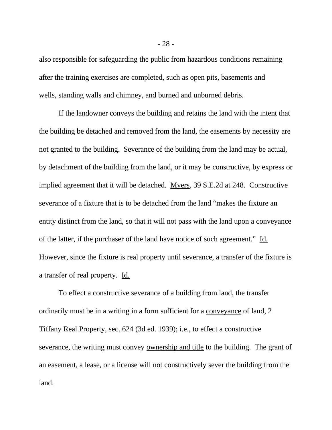also responsible for safeguarding the public from hazardous conditions remaining after the training exercises are completed, such as open pits, basements and wells, standing walls and chimney, and burned and unburned debris.

If the landowner conveys the building and retains the land with the intent that the building be detached and removed from the land, the easements by necessity are not granted to the building. Severance of the building from the land may be actual, by detachment of the building from the land, or it may be constructive, by express or implied agreement that it will be detached. Myers, 39 S.E.2d at 248. Constructive severance of a fixture that is to be detached from the land "makes the fixture an entity distinct from the land, so that it will not pass with the land upon a conveyance of the latter, if the purchaser of the land have notice of such agreement." Id. However, since the fixture is real property until severance, a transfer of the fixture is a transfer of real property. Id.

To effect a constructive severance of a building from land, the transfer ordinarily must be in a writing in a form sufficient for a conveyance of land, 2 Tiffany Real Property, sec. 624 (3d ed. 1939); i.e., to effect a constructive severance, the writing must convey ownership and title to the building. The grant of an easement, a lease, or a license will not constructively sever the building from the land.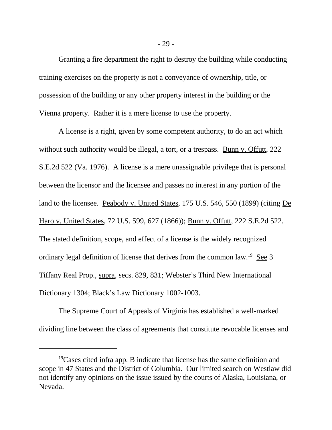Granting a fire department the right to destroy the building while conducting training exercises on the property is not a conveyance of ownership, title, or possession of the building or any other property interest in the building or the Vienna property. Rather it is a mere license to use the property.

A license is a right, given by some competent authority, to do an act which without such authority would be illegal, a tort, or a trespass. Bunn v. Offutt, 222 S.E.2d 522 (Va. 1976). A license is a mere unassignable privilege that is personal between the licensor and the licensee and passes no interest in any portion of the land to the licensee. Peabody v. United States, 175 U.S. 546, 550 (1899) (citing De Haro v. United States, 72 U.S. 599, 627 (1866)); Bunn v. Offutt, 222 S.E.2d 522. The stated definition, scope, and effect of a license is the widely recognized ordinary legal definition of license that derives from the common law.<sup>19</sup> See 3 Tiffany Real Prop., supra, secs. 829, 831; Webster's Third New International Dictionary 1304; Black's Law Dictionary 1002-1003.

The Supreme Court of Appeals of Virginia has established a well-marked dividing line between the class of agreements that constitute revocable licenses and

 $19$ Cases cited infra app. B indicate that license has the same definition and scope in 47 States and the District of Columbia. Our limited search on Westlaw did not identify any opinions on the issue issued by the courts of Alaska, Louisiana, or Nevada.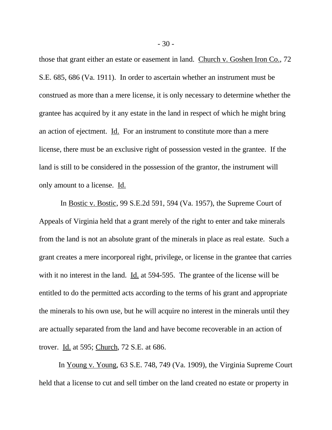those that grant either an estate or easement in land. Church v. Goshen Iron Co., 72 S.E. 685, 686 (Va. 1911). In order to ascertain whether an instrument must be construed as more than a mere license, it is only necessary to determine whether the grantee has acquired by it any estate in the land in respect of which he might bring an action of ejectment. Id. For an instrument to constitute more than a mere license, there must be an exclusive right of possession vested in the grantee. If the land is still to be considered in the possession of the grantor, the instrument will only amount to a license. Id.

 In Bostic v. Bostic, 99 S.E.2d 591, 594 (Va. 1957), the Supreme Court of Appeals of Virginia held that a grant merely of the right to enter and take minerals from the land is not an absolute grant of the minerals in place as real estate. Such a grant creates a mere incorporeal right, privilege, or license in the grantee that carries with it no interest in the land. Id. at 594-595. The grantee of the license will be entitled to do the permitted acts according to the terms of his grant and appropriate the minerals to his own use, but he will acquire no interest in the minerals until they are actually separated from the land and have become recoverable in an action of trover. Id. at 595; Church, 72 S.E. at 686.

In Young v. Young, 63 S.E. 748, 749 (Va. 1909), the Virginia Supreme Court held that a license to cut and sell timber on the land created no estate or property in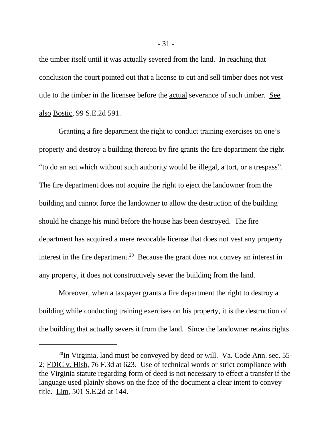the timber itself until it was actually severed from the land. In reaching that conclusion the court pointed out that a license to cut and sell timber does not vest title to the timber in the licensee before the actual severance of such timber. See also Bostic, 99 S.E.2d 591.

Granting a fire department the right to conduct training exercises on one's property and destroy a building thereon by fire grants the fire department the right "to do an act which without such authority would be illegal, a tort, or a trespass". The fire department does not acquire the right to eject the landowner from the building and cannot force the landowner to allow the destruction of the building should he change his mind before the house has been destroyed. The fire department has acquired a mere revocable license that does not vest any property interest in the fire department.<sup>20</sup> Because the grant does not convey an interest in any property, it does not constructively sever the building from the land.

Moreover, when a taxpayer grants a fire department the right to destroy a building while conducting training exercises on his property, it is the destruction of the building that actually severs it from the land. Since the landowner retains rights

 $^{20}$ In Virginia, land must be conveyed by deed or will. Va. Code Ann. sec. 55-2; FDIC v. Hish, 76 F.3d at 623. Use of technical words or strict compliance with the Virginia statute regarding form of deed is not necessary to effect a transfer if the language used plainly shows on the face of the document a clear intent to convey title. Lim, 501 S.E.2d at 144.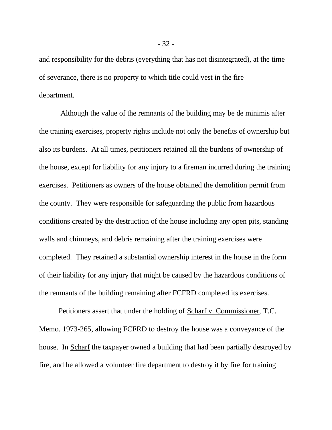and responsibility for the debris (everything that has not disintegrated), at the time of severance, there is no property to which title could vest in the fire department.

 Although the value of the remnants of the building may be de minimis after the training exercises, property rights include not only the benefits of ownership but also its burdens. At all times, petitioners retained all the burdens of ownership of the house, except for liability for any injury to a fireman incurred during the training exercises. Petitioners as owners of the house obtained the demolition permit from the county. They were responsible for safeguarding the public from hazardous conditions created by the destruction of the house including any open pits, standing walls and chimneys, and debris remaining after the training exercises were completed. They retained a substantial ownership interest in the house in the form of their liability for any injury that might be caused by the hazardous conditions of the remnants of the building remaining after FCFRD completed its exercises.

Petitioners assert that under the holding of Scharf v. Commissioner, T.C. Memo. 1973-265, allowing FCFRD to destroy the house was a conveyance of the house. In Scharf the taxpayer owned a building that had been partially destroyed by fire, and he allowed a volunteer fire department to destroy it by fire for training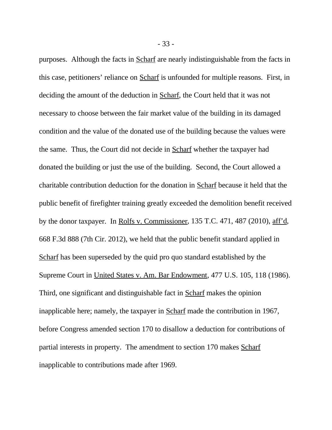purposes. Although the facts in Scharf are nearly indistinguishable from the facts in this case, petitioners' reliance on Scharf is unfounded for multiple reasons. First, in deciding the amount of the deduction in Scharf, the Court held that it was not necessary to choose between the fair market value of the building in its damaged condition and the value of the donated use of the building because the values were the same. Thus, the Court did not decide in Scharf whether the taxpayer had donated the building or just the use of the building. Second, the Court allowed a charitable contribution deduction for the donation in Scharf because it held that the public benefit of firefighter training greatly exceeded the demolition benefit received by the donor taxpayer. In Rolfs v. Commissioner, 135 T.C. 471, 487 (2010), aff'd, 668 F.3d 888 (7th Cir. 2012), we held that the public benefit standard applied in Scharf has been superseded by the quid pro quo standard established by the Supreme Court in United States v. Am. Bar Endowment, 477 U.S. 105, 118 (1986). Third, one significant and distinguishable fact in Scharf makes the opinion inapplicable here; namely, the taxpayer in Scharf made the contribution in 1967, before Congress amended section 170 to disallow a deduction for contributions of partial interests in property. The amendment to section 170 makes Scharf inapplicable to contributions made after 1969.

- 33 -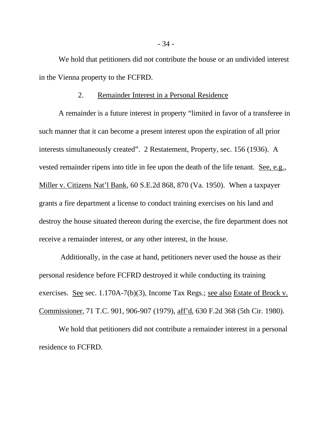We hold that petitioners did not contribute the house or an undivided interest in the Vienna property to the FCFRD.

#### 2. Remainder Interest in a Personal Residence

A remainder is a future interest in property "limited in favor of a transferee in such manner that it can become a present interest upon the expiration of all prior interests simultaneously created". 2 Restatement, Property, sec. 156 (1936). A vested remainder ripens into title in fee upon the death of the life tenant. See, e.g., Miller v. Citizens Nat'l Bank, 60 S.E.2d 868, 870 (Va. 1950). When a taxpayer grants a fire department a license to conduct training exercises on his land and destroy the house situated thereon during the exercise, the fire department does not receive a remainder interest, or any other interest, in the house.

 Additionally, in the case at hand, petitioners never used the house as their personal residence before FCFRD destroyed it while conducting its training exercises. See sec. 1.170A-7(b)(3), Income Tax Regs.; see also Estate of Brock v. Commissioner, 71 T.C. 901, 906-907 (1979), aff'd, 630 F.2d 368 (5th Cir. 1980).

We hold that petitioners did not contribute a remainder interest in a personal residence to FCFRD.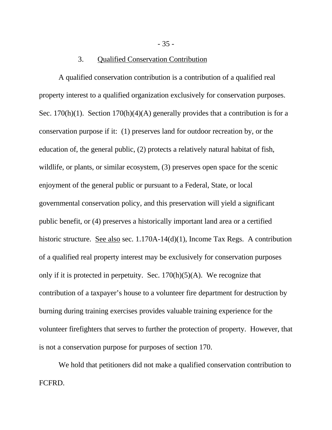### 3. Qualified Conservation Contribution

A qualified conservation contribution is a contribution of a qualified real property interest to a qualified organization exclusively for conservation purposes. Sec. 170(h)(1). Section 170(h)(4)(A) generally provides that a contribution is for a conservation purpose if it: (1) preserves land for outdoor recreation by, or the education of, the general public, (2) protects a relatively natural habitat of fish, wildlife, or plants, or similar ecosystem, (3) preserves open space for the scenic enjoyment of the general public or pursuant to a Federal, State, or local governmental conservation policy, and this preservation will yield a significant public benefit, or (4) preserves a historically important land area or a certified historic structure. See also sec. 1.170A-14(d)(1), Income Tax Regs. A contribution of a qualified real property interest may be exclusively for conservation purposes only if it is protected in perpetuity. Sec.  $170(h)(5)(A)$ . We recognize that contribution of a taxpayer's house to a volunteer fire department for destruction by burning during training exercises provides valuable training experience for the volunteer firefighters that serves to further the protection of property. However, that is not a conservation purpose for purposes of section 170.

We hold that petitioners did not make a qualified conservation contribution to FCFRD.

- 35 -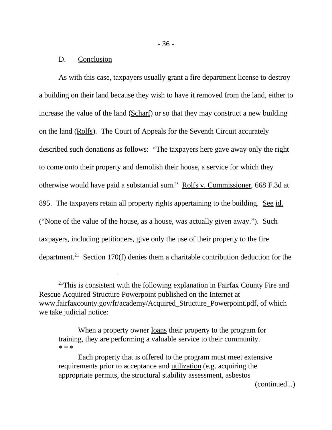#### D. Conclusion

As with this case, taxpayers usually grant a fire department license to destroy a building on their land because they wish to have it removed from the land, either to increase the value of the land (Scharf) or so that they may construct a new building on the land (Rolfs). The Court of Appeals for the Seventh Circuit accurately described such donations as follows: "The taxpayers here gave away only the right to come onto their property and demolish their house, a service for which they otherwise would have paid a substantial sum." Rolfs v. Commissioner, 668 F.3d at 895. The taxpayers retain all property rights appertaining to the building. See id. ("None of the value of the house, as a house, was actually given away."). Such taxpayers, including petitioners, give only the use of their property to the fire department.<sup>21</sup> Section 170(f) denies them a charitable contribution deduction for the

(continued...)

 $21$ This is consistent with the following explanation in Fairfax County Fire and Rescue Acquired Structure Powerpoint published on the Internet at www.fairfaxcounty.gov/fr/academy/Acquired\_Structure\_Powerpoint.pdf, of which we take judicial notice:

When a property owner <u>loans</u> their property to the program for training, they are performing a valuable service to their community. \* \* \*

Each property that is offered to the program must meet extensive requirements prior to acceptance and utilization (e.g. acquiring the appropriate permits, the structural stability assessment, asbestos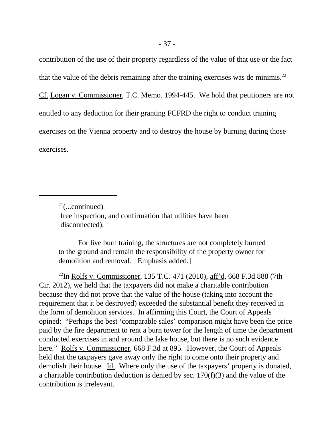contribution of the use of their property regardless of the value of that use or the fact that the value of the debris remaining after the training exercises was de minimis.<sup>22</sup> Cf. Logan v. Commissioner, T.C. Memo. 1994-445. We hold that petitioners are not entitled to any deduction for their granting FCFRD the right to conduct training exercises on the Vienna property and to destroy the house by burning during those exercises.

For live burn training, the structures are not completely burned to the ground and remain the responsibility of the property owner for demolition and removal. [Emphasis added.]

<sup>22</sup>In Rolfs v. Commissioner, 135 T.C. 471 (2010), aff'd, 668 F.3d 888 (7th Cir. 2012), we held that the taxpayers did not make a charitable contribution because they did not prove that the value of the house (taking into account the requirement that it be destroyed) exceeded the substantial benefit they received in the form of demolition services. In affirming this Court, the Court of Appeals opined: "Perhaps the best 'comparable sales' comparison might have been the price paid by the fire department to rent a burn tower for the length of time the department conducted exercises in and around the lake house, but there is no such evidence here." Rolfs v. Commissioner, 668 F.3d at 895. However, the Court of Appeals held that the taxpayers gave away only the right to come onto their property and demolish their house. Id. Where only the use of the taxpayers' property is donated, a charitable contribution deduction is denied by sec. 170(f)(3) and the value of the contribution is irrelevant.

 $21$ (...continued)

free inspection, and confirmation that utilities have been disconnected).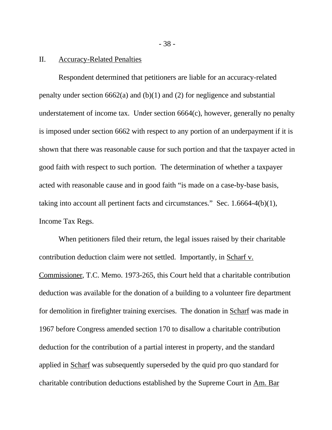#### II. Accuracy-Related Penalties

Respondent determined that petitioners are liable for an accuracy-related penalty under section  $6662(a)$  and  $(b)(1)$  and  $(2)$  for negligence and substantial understatement of income tax. Under section 6664(c), however, generally no penalty is imposed under section 6662 with respect to any portion of an underpayment if it is shown that there was reasonable cause for such portion and that the taxpayer acted in good faith with respect to such portion. The determination of whether a taxpayer acted with reasonable cause and in good faith "is made on a case-by-base basis, taking into account all pertinent facts and circumstances." Sec. 1.6664-4(b)(1), Income Tax Regs.

When petitioners filed their return, the legal issues raised by their charitable contribution deduction claim were not settled. Importantly, in Scharf v. Commissioner, T.C. Memo. 1973-265, this Court held that a charitable contribution deduction was available for the donation of a building to a volunteer fire department for demolition in firefighter training exercises. The donation in Scharf was made in 1967 before Congress amended section 170 to disallow a charitable contribution deduction for the contribution of a partial interest in property, and the standard applied in Scharf was subsequently superseded by the quid pro quo standard for charitable contribution deductions established by the Supreme Court in Am. Bar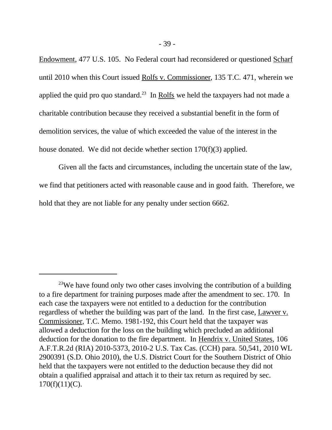Endowment, 477 U.S. 105. No Federal court had reconsidered or questioned Scharf until 2010 when this Court issued Rolfs v. Commissioner, 135 T.C. 471, wherein we applied the quid pro quo standard.<sup>23</sup> In Rolfs we held the taxpayers had not made a charitable contribution because they received a substantial benefit in the form of demolition services, the value of which exceeded the value of the interest in the house donated. We did not decide whether section 170(f)(3) applied.

Given all the facts and circumstances, including the uncertain state of the law, we find that petitioners acted with reasonable cause and in good faith. Therefore, we hold that they are not liable for any penalty under section 6662.

<sup>&</sup>lt;sup>23</sup>We have found only two other cases involving the contribution of a building to a fire department for training purposes made after the amendment to sec. 170. In each case the taxpayers were not entitled to a deduction for the contribution regardless of whether the building was part of the land. In the first case, Lawver v. Commissioner, T.C. Memo. 1981-192, this Court held that the taxpayer was allowed a deduction for the loss on the building which precluded an additional deduction for the donation to the fire department. In Hendrix v. United States, 106 A.F.T.R.2d (RIA) 2010-5373, 2010-2 U.S. Tax Cas. (CCH) para. 50,541, 2010 WL 2900391 (S.D. Ohio 2010), the U.S. District Court for the Southern District of Ohio held that the taxpayers were not entitled to the deduction because they did not obtain a qualified appraisal and attach it to their tax return as required by sec.  $170(f)(11)(C)$ .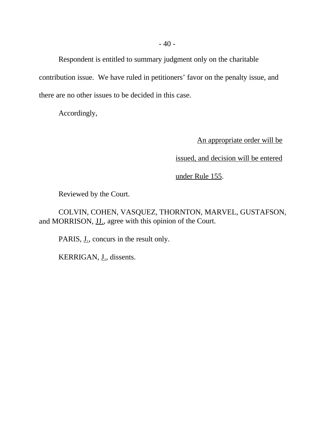Respondent is entitled to summary judgment only on the charitable contribution issue. We have ruled in petitioners' favor on the penalty issue, and there are no other issues to be decided in this case.

Accordingly,

An appropriate order will be

issued, and decision will be entered

under Rule 155.

Reviewed by the Court.

COLVIN, COHEN, VASQUEZ, THORNTON, MARVEL, GUSTAFSON, and MORRISON, JJ., agree with this opinion of the Court.

PARIS, J., concurs in the result only.

KERRIGAN, J., dissents.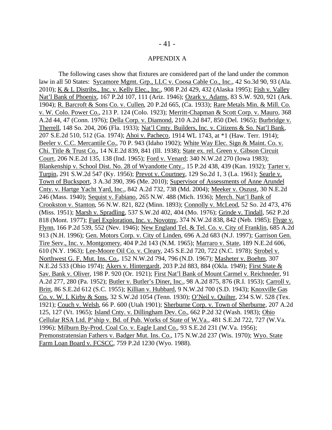#### APPENDIX A

The following cases show that fixtures are considered part of the land under the common law in all 50 States: Sycamore Mgmt. Grp., LLC v. Coosa Cable Co., Inc., 42 So.3d 90, 93 (Ala. 2010); K & L Distribs., Inc. v. Kelly Elec., Inc., 908 P.2d 429, 432 (Alaska 1995); Fish v. Valley Nat'l Bank of Phoenix, 167 P.2d 107, 111 (Ariz. 1946); Ozark v. Adams, 83 S.W. 920, 921 (Ark. 1904); R. Barcroft & Sons Co. v. Cullen, 20 P.2d 665, (Ca. 1933); Rare Metals Min. & Mill. Co. v. W. Colo. Power Co., 213 P. 124 (Colo. 1923); Merritt-Chapman & Scott Corp. v. Mauro, 368 A.2d 44, 47 (Conn. 1976); Della Corp. v. Diamond, 210 A.2d 847, 850 (Del. 1965); Burbridge v. Therrell, 148 So. 204, 206 (Fla. 1933); Nat'l Cmty. Builders, Inc. v. Citizens & So. Nat'l Bank, 207 S.E.2d 510, 512 (Ga. 1974); Ahoi v. Pacheco, 1914 WL 1743, at \*1 (Haw. Terr. 1914); Beeler v. C.C. Mercantile Co., 70 P. 943 (Idaho 1902); White Way Elec. Sign & Maint. Co. v. Chi. Title & Trust Co., 14 N.E.2d 839, 841 (Ill. 1938); State ex. rel. Green v. Gibson Circuit Court, 206 N.E.2d 135, 138 (Ind. 1965); Ford v. Venard; 340 N.W.2d 270 (Iowa 1983); Blankenship v. School Dist. No. 28 of Wyandotte Cnty., 15 P.2d 438, 439 (Kan. 1932); Tarter v. Turpin, 291 S.W.2d 547 (Ky. 1956); Prevot v. Courtney, 129 So.2d 1, 3 (La. 1961); Searle v. Town of Bucksport, 3 A.3d 390, 396 (Me. 2010); Supervisor of Assessments of Anne Arundel Cnty. v. Hartge Yacht Yard, Inc., 842 A.2d 732, 738 (Md. 2004); Meeker v. Oszust, 30 N.E.2d 246 (Mass. 1940); Sequist v. Fabiano, 265 N.W. 488 (Mich. 1936); Merch. Nat'l Bank of Crookston v. Stanton, 56 N.W. 821, 822 (Minn. 1893); Connolly v. McLeod, 52 So. 2d 473, 476 (Miss. 1951); Marsh v. Spradling, 537 S.W.2d 402, 404 (Mo. 1976); Grinde v. Tindall, 562 P.2d 818 (Mont. 1977); Fuel Exploration, Inc. v. Novotny, 374 N.W.2d 838, 842 (Neb. 1985); Flyge v. Flynn, 166 P.2d 539, 552 (Nev. 1946); New England Tel. & Tel. Co. v. City of Franklin, 685 A.2d 913 (N.H. 1996); Gen. Motors Corp. v. City of Linden, 696 A.2d 683 (N.J. 1997); Garrison Gen. Tire Serv., Inc. v. Montgomery, 404 P.2d 143 (N.M. 1965); Marraro v. State, 189 N.E.2d 606, 610 (N.Y. 1963); Lee-Moore Oil Co. v. Cleary, 245 S.E.2d 720, 722 (N.C. 1978); Strobel v. Northwest G. F. Mut. Ins. Co., 152 N.W.2d 794, 796 (N.D. 1967); Masheter v. Boehm, 307 N.E.2d 533 (Ohio 1974); Akers v. Hintergardt, 203 P.2d 883, 884 (Okla. 1949); First State & Sav. Bank v. Oliver, 198 P. 920 (Or. 1921); First Nat'l Bank of Mount Carmel v. Reichneder, 91 A.2d 277, 280 (Pa. 1952); Butler v. Butler's Diner, Inc., 98 A.2d 875, 876 (R.I. 1953); Carroll v. Britt, 86 S.E.2d 612 (S.C. 1955); Killian v. Hubbard, 9 N.W.2d 700 (S.D. 1943); Knoxville Gas Co. v. W. I. Kirby & Sons, 32 S.W.2d 1054 (Tenn. 1930); O'Neil v. Quilter, 234 S.W. 528 (Tex. 1921); Couch v. Welsh, 66 P. 600 (Utah 1901); Sherburne Corp. v. Town of Sherburne, 207 A.2d 125, 127 (Vt. 1965); Island Cnty. v. Dillingham Dev. Co., 662 P.2d 32 (Wash. 1983); Ohio Cellular RSA Ltd. P'ship v. Bd. of Pub. Works of State of W.Va., 481 S.E.2d 722, 727 (W.Va. 1996); Milburn By-Prod. Coal Co. v. Eagle Land Co., 93 S.E.2d 231 (W.Va. 1956); Premonstratensian Fathers v. Badger Mut. Ins. Co., 175 N.W.2d 237 (Wis. 1970); Wyo. State Farm Loan Board v. FCSCC, 759 P.2d 1230 (Wyo. 1988).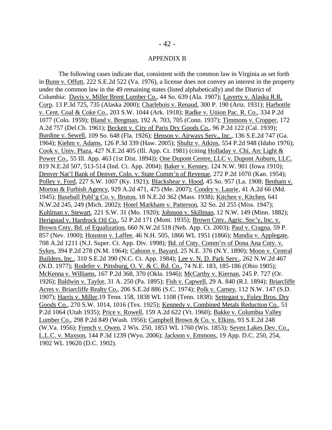#### APPENDIX B

The following cases indicate that, consistent with the common law in Virginia as set forth in Bunn v. Offutt, 222 S.E.2d 522 (Va. 1976), a license does not convey an interest in the property under the common law in the 49 remaining states (listed alphabetically) and the District of Columbia: Davis v. Miller Brent Lumber Co., 44 So. 639 (Ala. 1907); Laverty v. Alaska R.R. Corp. 13 P.3d 725, 735 (Alaska 2000); Charlebois v. Renaud, 300 P. 190 (Ariz. 1931); Harbottle v. Cent. Coal & Coke Co., 203 S.W. 1044 (Ark. 1918); Radke v. Union Pac. R. Co., 334 P.2d 1077 (Colo. 1959); Bland v. Bregman, 192 A. 703, 705 (Conn. 1937); Timmons v. Cropper, 172 A.2d 757 (Del.Ch. 1961); Beckett v. City of Paris Dry Goods Co., 96 P.2d 122 (Cal. 1939); Burdine v. Sewell, 109 So. 648 (Fla. 1926); Henson v. Airways Serv., Inc., 136 S.E.2d 747 (Ga. 1964); Kiehm v. Adams, 126 P.3d 339 (Haw. 2005); Shultz v. Atkins, 554 P.2d 948 (Idaho 1976); Cook v. Univ. Plaza, 427 N.E.2d 405 (Ill. App. Ct. 1981) (citing Holladay v. Chi. Arc Light & Power Co., 55 Ill. App. 463 (1st Dist. 1894)); One Dupont Centre, LLC v. Dupont Auburn, LLC, 819 N.E.2d 507, 513-514 (Ind. Ct. App. 2004); Baker v. Kenney, 124 N.W. 901 (Iowa 1910); Denver Nat'l Bank of Denver, Colo. v. State Comm'n of Revenue, 272 P.2d 1070 (Kan. 1954); Polley v. Ford, 227 S.W. 1007 (Ky. 1921); Blackshear v. Hood, 45 So. 957 (La. 1908; Benham v. Morton & Furbish Agency, 929 A.2d 471, 475 (Me. 2007); Condry v. Laurie, 41 A.2d 66 (Md. 1945); Baseball Publ'g Co. v. Bruton, 18 N.E.2d 362 (Mass. 1938); Kitchen v. Kitchen, 641 N.W.2d 245, 249 (Mich. 2002); Hotel Markham v. Patterson, 32 So. 2d 255 (Miss. 1947); Kuhlman v. Stewart, 221 S.W. 31 (Mo. 1920); Johnson v. Skillman, 12 N.W. 149 (Minn. 1882); Herigstad v. Hardrock Oil Co., 52 P.2d 171 (Mont. 1935); Brown Cnty. Agric. Soc'y, Inc. v. Brown Cnty. Bd. of Equalization, 660 N.W.2d 518 (Neb. App. Ct. 2003); Paul v. Cragna, 59 P. 857 (Nev. 1900); Houston v. Laffee, 46 N.H. 505, 1866 WL 1951 (1866); Mandia v. Applegate, 708 A.2d 1211 (N.J. Super. Ct. App. Div. 1998); Bd. of Cnty. Comm'rs of Dona Ana Cnty. v. Sykes, 394 P.2d 278 (N.M. 1964); Cahoon v. Bayard, 25 N.E. 376 (N.Y. 1890); Moon v. Central Builders, Inc., 310 S.E.2d 390 (N.C. Ct. App. 1984); Lee v. N. D. Park Serv., 262 N.W.2d 467 (N.D. 1977); Rodefer v. Pittsburg, O. V. & C. Rd. Co., 74 N.E. 183, 185-186 (Ohio 1905); McKenna v. Williams, 167 P.2d 368, 370 (Okla. 1946); McCarthy v. Kiernan, 245 P. 727 (Or. 1926); Baldwin v. Taylor, 31 A. 250 (Pa. 1895); Fish v. Capwell, 29 A. 840 (R.I. 1894); Briarcliffe Acres v. Briarcliffe Realty Co., 206 S.E.2d 886 (S.C. 1974); Polk v. Carney, 112 N.W. 147 (S.D. 1907); Harris v. Miller,19 Tenn. 158, 1838 WL 1108 (Tenn. 1838); Settegast v. Foley Bros. Dry Goods Co., 270 S.W. 1014, 1016 (Tex. 1925); Kennedy v. Combined Metals Reduction Co., 51 P.2d 1064 (Utah 1935); Price v. Rowell, 159 A.2d 622 (Vt. 1960); Bakke v. Columbia Valley Lumber Co., 298 P.2d 849 (Wash. 1956); Campbell Brown & Co. v. Elkins, 93 S.E.2d 248 (W.Va. 1956); French v. Owen, 2 Wis. 250, 1853 WL 1760 (Wis. 1853); Seven Lakes Dev. Co., L.L.C. v. Maxson, 144 P.3d 1239 (Wyo. 2006); Jackson v. Emmons, 19 App. D.C. 250, 254, 1902 WL 19620 (D.C. 1902).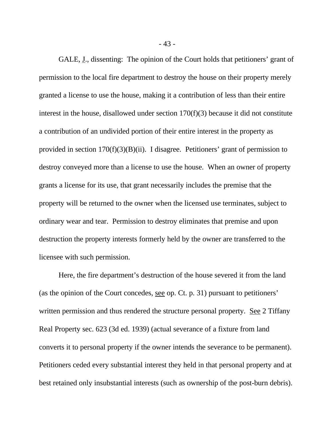GALE, <u>J</u>., dissenting: The opinion of the Court holds that petitioners' grant of permission to the local fire department to destroy the house on their property merely granted a license to use the house, making it a contribution of less than their entire interest in the house, disallowed under section 170(f)(3) because it did not constitute a contribution of an undivided portion of their entire interest in the property as provided in section 170(f)(3)(B)(ii). I disagree. Petitioners' grant of permission to destroy conveyed more than a license to use the house. When an owner of property grants a license for its use, that grant necessarily includes the premise that the property will be returned to the owner when the licensed use terminates, subject to ordinary wear and tear. Permission to destroy eliminates that premise and upon destruction the property interests formerly held by the owner are transferred to the licensee with such permission.

Here, the fire department's destruction of the house severed it from the land (as the opinion of the Court concedes, see op. Ct. p. 31) pursuant to petitioners' written permission and thus rendered the structure personal property. See 2 Tiffany Real Property sec. 623 (3d ed. 1939) (actual severance of a fixture from land converts it to personal property if the owner intends the severance to be permanent). Petitioners ceded every substantial interest they held in that personal property and at best retained only insubstantial interests (such as ownership of the post-burn debris).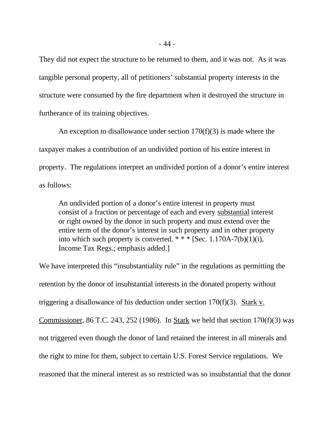They did not expect the structure to be returned to them, and it was not. As it was tangible personal property, all of petitioners' substantial property interests in the structure were consumed by the fire department when it destroyed the structure in furtherance of its training objectives.

An exception to disallowance under section  $170(f)(3)$  is made where the taxpayer makes a contribution of an undivided portion of his entire interest in property. The regulations interpret an undivided portion of a donor's entire interest as follows:

An undivided portion of a donor's entire interest in property must consist of a fraction or percentage of each and every substantial interest or right owned by the donor in such property and must extend over the entire term of the donor's interest in such property and in other property into which such property is converted.  $***$  [Sec. 1.170A-7(b)(1)(i), Income Tax Regs.; emphasis added.]

We have interpreted this "insubstantiality rule" in the regulations as permitting the retention by the donor of insubstantial interests in the donated property without triggering a disallowance of his deduction under section 170(f)(3). Stark v. Commissioner, 86 T.C. 243, 252 (1986). In Stark we held that section  $170(f)(3)$  was not triggered even though the donor of land retained the interest in all minerals and the right to mine for them, subject to certain U.S. Forest Service regulations. We reasoned that the mineral interest as so restricted was so insubstantial that the donor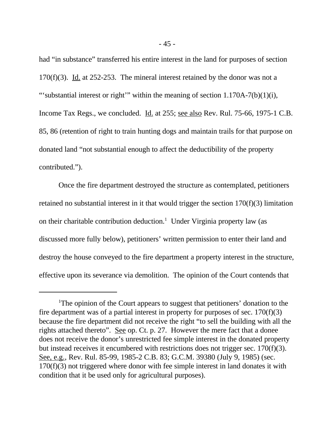had "in substance" transferred his entire interest in the land for purposes of section 170(f)(3). Id. at 252-253. The mineral interest retained by the donor was not a "'substantial interest or right'" within the meaning of section 1.170A-7(b)(1)(i), Income Tax Regs., we concluded. Id. at 255; see also Rev. Rul. 75-66, 1975-1 C.B. 85, 86 (retention of right to train hunting dogs and maintain trails for that purpose on donated land "not substantial enough to affect the deductibility of the property contributed.").

Once the fire department destroyed the structure as contemplated, petitioners retained no substantial interest in it that would trigger the section 170(f)(3) limitation on their charitable contribution deduction.<sup>1</sup> Under Virginia property law (as discussed more fully below), petitioners' written permission to enter their land and destroy the house conveyed to the fire department a property interest in the structure, effective upon its severance via demolition. The opinion of the Court contends that

<sup>&</sup>lt;sup>1</sup>The opinion of the Court appears to suggest that petitioners' donation to the fire department was of a partial interest in property for purposes of sec.  $170(f)(3)$ because the fire department did not receive the right "to sell the building with all the rights attached thereto". See op. Ct. p. 27. However the mere fact that a donee does not receive the donor's unrestricted fee simple interest in the donated property but instead receives it encumbered with restrictions does not trigger sec. 170(f)(3). See, e.g., Rev. Rul. 85-99, 1985-2 C.B. 83; G.C.M. 39380 (July 9, 1985) (sec. 170(f)(3) not triggered where donor with fee simple interest in land donates it with condition that it be used only for agricultural purposes).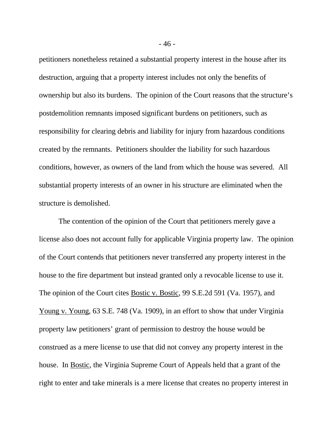petitioners nonetheless retained a substantial property interest in the house after its destruction, arguing that a property interest includes not only the benefits of ownership but also its burdens. The opinion of the Court reasons that the structure's postdemolition remnants imposed significant burdens on petitioners, such as responsibility for clearing debris and liability for injury from hazardous conditions created by the remnants. Petitioners shoulder the liability for such hazardous conditions, however, as owners of the land from which the house was severed. All substantial property interests of an owner in his structure are eliminated when the structure is demolished.

The contention of the opinion of the Court that petitioners merely gave a license also does not account fully for applicable Virginia property law. The opinion of the Court contends that petitioners never transferred any property interest in the house to the fire department but instead granted only a revocable license to use it. The opinion of the Court cites Bostic v. Bostic, 99 S.E.2d 591 (Va. 1957), and Young v. Young, 63 S.E. 748 (Va. 1909), in an effort to show that under Virginia property law petitioners' grant of permission to destroy the house would be construed as a mere license to use that did not convey any property interest in the house. In Bostic, the Virginia Supreme Court of Appeals held that a grant of the right to enter and take minerals is a mere license that creates no property interest in

- 46 -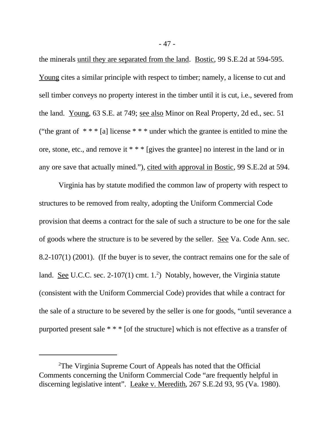the minerals until they are separated from the land. Bostic, 99 S.E.2d at 594-595. Young cites a similar principle with respect to timber; namely, a license to cut and sell timber conveys no property interest in the timber until it is cut, i.e., severed from the land. Young, 63 S.E. at 749; see also Minor on Real Property, 2d ed., sec. 51 ("the grant of  $***$  [a] license  $***$  under which the grantee is entitled to mine the ore, stone, etc., and remove it \* \* \* [gives the grantee] no interest in the land or in any ore save that actually mined."), cited with approval in Bostic, 99 S.E.2d at 594.

Virginia has by statute modified the common law of property with respect to structures to be removed from realty, adopting the Uniform Commercial Code provision that deems a contract for the sale of such a structure to be one for the sale of goods where the structure is to be severed by the seller. See Va. Code Ann. sec. 8.2-107(1) (2001). (If the buyer is to sever, the contract remains one for the sale of land. See U.C.C. sec. 2-107(1) cmt. 1.<sup>2</sup>) Notably, however, the Virginia statute (consistent with the Uniform Commercial Code) provides that while a contract for the sale of a structure to be severed by the seller is one for goods, "until severance a purported present sale \* \* \* [of the structure] which is not effective as a transfer of

<sup>2</sup>The Virginia Supreme Court of Appeals has noted that the Official Comments concerning the Uniform Commercial Code "are frequently helpful in discerning legislative intent". Leake v. Meredith, 267 S.E.2d 93, 95 (Va. 1980).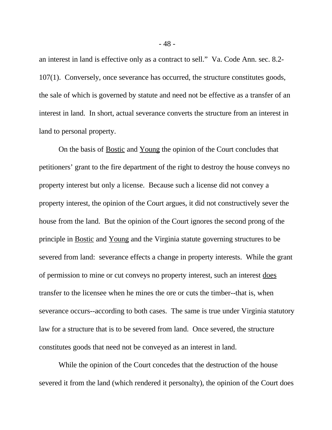an interest in land is effective only as a contract to sell." Va. Code Ann. sec. 8.2- 107(1). Conversely, once severance has occurred, the structure constitutes goods, the sale of which is governed by statute and need not be effective as a transfer of an interest in land. In short, actual severance converts the structure from an interest in land to personal property.

On the basis of Bostic and Young the opinion of the Court concludes that petitioners' grant to the fire department of the right to destroy the house conveys no property interest but only a license. Because such a license did not convey a property interest, the opinion of the Court argues, it did not constructively sever the house from the land. But the opinion of the Court ignores the second prong of the principle in Bostic and Young and the Virginia statute governing structures to be severed from land: severance effects a change in property interests. While the grant of permission to mine or cut conveys no property interest, such an interest does transfer to the licensee when he mines the ore or cuts the timber--that is, when severance occurs--according to both cases. The same is true under Virginia statutory law for a structure that is to be severed from land. Once severed, the structure constitutes goods that need not be conveyed as an interest in land.

While the opinion of the Court concedes that the destruction of the house severed it from the land (which rendered it personalty), the opinion of the Court does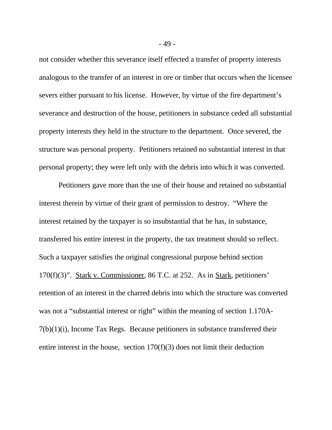not consider whether this severance itself effected a transfer of property interests analogous to the transfer of an interest in ore or timber that occurs when the licensee severs either pursuant to his license. However, by virtue of the fire department's severance and destruction of the house, petitioners in substance ceded all substantial property interests they held in the structure to the department. Once severed, the structure was personal property. Petitioners retained no substantial interest in that personal property; they were left only with the debris into which it was converted.

Petitioners gave more than the use of their house and retained no substantial interest therein by virtue of their grant of permission to destroy. "Where the interest retained by the taxpayer is so insubstantial that he has, in substance, transferred his entire interest in the property, the tax treatment should so reflect. Such a taxpayer satisfies the original congressional purpose behind section 170(f)(3)". Stark v. Commissioner, 86 T.C. at 252. As in Stark, petitioners' retention of an interest in the charred debris into which the structure was converted was not a "substantial interest or right" within the meaning of section 1.170A- $7(b)(1)(i)$ , Income Tax Regs. Because petitioners in substance transferred their entire interest in the house, section 170(f)(3) does not limit their deduction

- 49 -